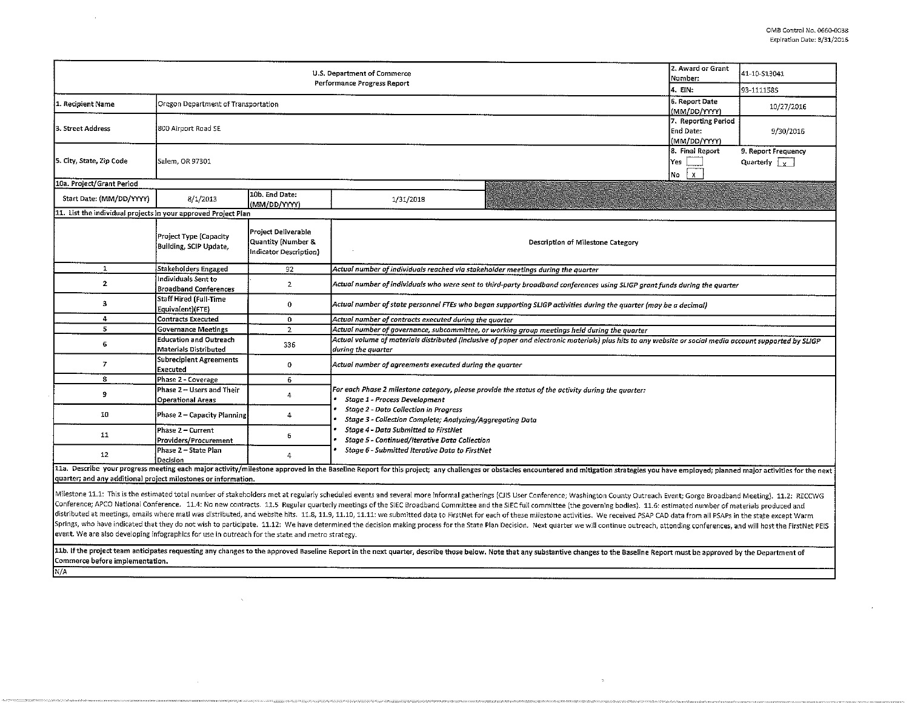|                                                                                                  | 2. Award or Grant<br>Number:                           | 41-10-S13041                                                        |                                                                                                                                                                                |                                                                                                                                                                                                                                                                                                                                                                                                                                                                                                                                                                                                                                                                                                                                                                                                                                                                                                                                     |  |  |  |  |  |
|--------------------------------------------------------------------------------------------------|--------------------------------------------------------|---------------------------------------------------------------------|--------------------------------------------------------------------------------------------------------------------------------------------------------------------------------|-------------------------------------------------------------------------------------------------------------------------------------------------------------------------------------------------------------------------------------------------------------------------------------------------------------------------------------------------------------------------------------------------------------------------------------------------------------------------------------------------------------------------------------------------------------------------------------------------------------------------------------------------------------------------------------------------------------------------------------------------------------------------------------------------------------------------------------------------------------------------------------------------------------------------------------|--|--|--|--|--|
|                                                                                                  |                                                        | 4. EIN:                                                             | 93-1111585                                                                                                                                                                     |                                                                                                                                                                                                                                                                                                                                                                                                                                                                                                                                                                                                                                                                                                                                                                                                                                                                                                                                     |  |  |  |  |  |
| 1. Recipient Name                                                                                | Oregon Department of Transportation                    |                                                                     | 6. Report Date<br>(MM/DD/YYYY)                                                                                                                                                 | 10/27/2016                                                                                                                                                                                                                                                                                                                                                                                                                                                                                                                                                                                                                                                                                                                                                                                                                                                                                                                          |  |  |  |  |  |
| 3. Street Address                                                                                | 800 Airport Road SE                                    | 7. Reporting Period<br><b>End Date:</b><br>(MM/DD/YYYY)             | 9/30/2016                                                                                                                                                                      |                                                                                                                                                                                                                                                                                                                                                                                                                                                                                                                                                                                                                                                                                                                                                                                                                                                                                                                                     |  |  |  |  |  |
| 5. City, State, Zip Code                                                                         | Salem, OR 97301                                        | 8. Final Report<br>Yes<br>$\mathbf{x}$<br>No                        | 9. Report Frequency<br>Quarterly $\sqrt{x}$                                                                                                                                    |                                                                                                                                                                                                                                                                                                                                                                                                                                                                                                                                                                                                                                                                                                                                                                                                                                                                                                                                     |  |  |  |  |  |
| 10a. Project/Grant Period                                                                        |                                                        |                                                                     |                                                                                                                                                                                |                                                                                                                                                                                                                                                                                                                                                                                                                                                                                                                                                                                                                                                                                                                                                                                                                                                                                                                                     |  |  |  |  |  |
| Start Date: (MM/DD/YYYY)                                                                         | 8/1/2013                                               | 10b. End Date:<br>(MM/DD/YYYY)                                      | 1/31/2018                                                                                                                                                                      |                                                                                                                                                                                                                                                                                                                                                                                                                                                                                                                                                                                                                                                                                                                                                                                                                                                                                                                                     |  |  |  |  |  |
| 11. List the individual projects in your approved Project Plan                                   |                                                        |                                                                     |                                                                                                                                                                                |                                                                                                                                                                                                                                                                                                                                                                                                                                                                                                                                                                                                                                                                                                                                                                                                                                                                                                                                     |  |  |  |  |  |
|                                                                                                  | Project Type (Capacity<br>Building, SCIP Undate,       | Project Deliverable<br>Quantity (Number &<br>Indicator Description) |                                                                                                                                                                                | Description of Milestone Category                                                                                                                                                                                                                                                                                                                                                                                                                                                                                                                                                                                                                                                                                                                                                                                                                                                                                                   |  |  |  |  |  |
| $\mathbf{1}$                                                                                     | Stakeholders Engaged                                   | 92                                                                  | Actual number of individuals reached via stakeholder meetings during the quarter                                                                                               |                                                                                                                                                                                                                                                                                                                                                                                                                                                                                                                                                                                                                                                                                                                                                                                                                                                                                                                                     |  |  |  |  |  |
| $\mathbf{2}$                                                                                     | Individuals Sent to<br><b>Broadband Conferences</b>    | $\overline{2}$                                                      | Actual number of individuals who were sent to third-party broadband conferences using SLIGP grant funds during the quarter                                                     |                                                                                                                                                                                                                                                                                                                                                                                                                                                                                                                                                                                                                                                                                                                                                                                                                                                                                                                                     |  |  |  |  |  |
| $\mathbf{B}$                                                                                     | <b>Staff Hired (Full-Time</b><br>Equivalent)(FTE)      | 0                                                                   | Actual number of state personnel FTEs who began supporting SLIGP activities during the quarter (may be a decimal)                                                              |                                                                                                                                                                                                                                                                                                                                                                                                                                                                                                                                                                                                                                                                                                                                                                                                                                                                                                                                     |  |  |  |  |  |
| $\overline{4}$                                                                                   | <b>Contracts Executed</b>                              | $\mathbf{0}$                                                        | Actual number of contracts executed during the quarter                                                                                                                         |                                                                                                                                                                                                                                                                                                                                                                                                                                                                                                                                                                                                                                                                                                                                                                                                                                                                                                                                     |  |  |  |  |  |
| 5                                                                                                | <b>Governance Meetings</b>                             | $\overline{2}$                                                      | Actual number of governance, subcommittee, or working group meetings held during the quarter                                                                                   |                                                                                                                                                                                                                                                                                                                                                                                                                                                                                                                                                                                                                                                                                                                                                                                                                                                                                                                                     |  |  |  |  |  |
| 6                                                                                                | <b>Education and Outreach</b><br>Materials Distributed | 336                                                                 | Actual volume of materials distributed (inclusive of paper and electronic materials) plus hits to any website or social media account supported by SLIGP<br>during the quarter |                                                                                                                                                                                                                                                                                                                                                                                                                                                                                                                                                                                                                                                                                                                                                                                                                                                                                                                                     |  |  |  |  |  |
| $\mathbf{7}$                                                                                     | <b>Subrecipient Agreements</b><br>Executed             | 0                                                                   | Actual number of agreements executed during the quarter                                                                                                                        |                                                                                                                                                                                                                                                                                                                                                                                                                                                                                                                                                                                                                                                                                                                                                                                                                                                                                                                                     |  |  |  |  |  |
| 8                                                                                                | Phase 2 - Coverage                                     | 6                                                                   |                                                                                                                                                                                |                                                                                                                                                                                                                                                                                                                                                                                                                                                                                                                                                                                                                                                                                                                                                                                                                                                                                                                                     |  |  |  |  |  |
| 9                                                                                                | Phase 2 - Users and Their<br><b>Operational Areas</b>  | 4                                                                   | For each Phase 2 milestone category, please provide the status of the activity during the quarter:<br><b>Stage 1 - Process Development</b>                                     |                                                                                                                                                                                                                                                                                                                                                                                                                                                                                                                                                                                                                                                                                                                                                                                                                                                                                                                                     |  |  |  |  |  |
| 10                                                                                               | Phase 2 – Capacity Planning                            | 4                                                                   | Stage 2 - Data Collection in Progress<br>Stage 3 - Collection Complete; Analyzing/Aggregating Data                                                                             |                                                                                                                                                                                                                                                                                                                                                                                                                                                                                                                                                                                                                                                                                                                                                                                                                                                                                                                                     |  |  |  |  |  |
| 11                                                                                               | Phase 2 – Current<br>Providers/Procurement             | 6                                                                   | Stage 4 - Data Submitted to FirstNet<br>Stage 5 - Continued/Iterative Data Collection                                                                                          |                                                                                                                                                                                                                                                                                                                                                                                                                                                                                                                                                                                                                                                                                                                                                                                                                                                                                                                                     |  |  |  |  |  |
| 12                                                                                               | Phase 2 – State Plan<br>Decision                       | 4                                                                   | Stage 6 - Submitted Iterative Data to FirstNet                                                                                                                                 |                                                                                                                                                                                                                                                                                                                                                                                                                                                                                                                                                                                                                                                                                                                                                                                                                                                                                                                                     |  |  |  |  |  |
| quarter; and any additional project milestones or information.                                   |                                                        |                                                                     |                                                                                                                                                                                | 11a. Describe your progress meeting each major activity/milestone approved in the Baseline Report for this project; any challenges or obstacles encountered and mitigation strategies you have employed; planned major activit                                                                                                                                                                                                                                                                                                                                                                                                                                                                                                                                                                                                                                                                                                      |  |  |  |  |  |
| event. We are also developing infographics for use in outreach for the state and metro strategy. |                                                        |                                                                     |                                                                                                                                                                                | Milestone 11.1: This is the estimated total number of stakeholders met at regularly scheduled events and several more informal gatherings (CJIS User Conference; Washington County Outreach Event; Gorge Broadband Meeting). 1<br>Conference; APCO National Conference. 11.4: No new contracts. 11.5 Regular quarterly meetings of the SIEC Broadband Committee and the SIEC full committee (the governing bodies). 11.6: estimated number of materials produced<br>distributed at meetings, emails where matl was distributed, and website hits. 11.8, 11.9, 11.10, 11.11: we submitted data to FirstNet for each of these milestone activities. We received PSAP CAD data from all PSAPs in the<br>Springs, who have indicated that they do not wish to participate. 11.12: We have determined the decision making process for the State Plan Decision. Next quarter we will continue outreach, attending conferences, and will h |  |  |  |  |  |

 $\sim 10^7$ 

11b. If the project team anticipates requesting any changes to the approved Baseline Report in the next quarter, describe those below. Note that any substantive changes to the Baseline Report must be approved by the Depart Commerce before implementation. N/A

 $\sim$ 

 $\mathcal{A}^{\mathcal{A}}$ 

 $\sim$